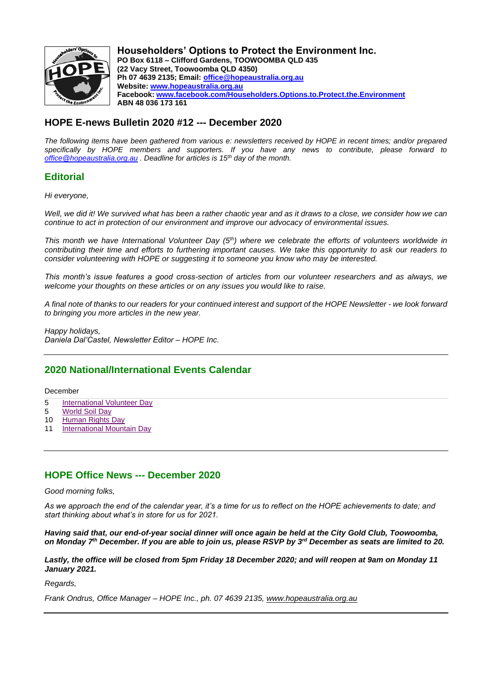

**Householders' Options to Protect the Environment Inc. PO Box 6118 – Clifford Gardens, TOOWOOMBA QLD 435 (22 Vacy Street, Toowoomba QLD 4350) Ph 07 4639 2135; Email: [office@hopeaustralia.org.au](about:blank) Website: [www.hopeaustralia.org.au](about:blank) Facebook: [www.facebook.com/Householders.Options.to.Protect.the.Environment](about:blank) ABN 48 036 173 161**

## **HOPE E-news Bulletin 2020 #12 --- December 2020**

*The following items have been gathered from various e: newsletters received by HOPE in recent times; and/or prepared specifically by HOPE members and supporters. If you have any news to contribute, please forward to [office@hopeaustralia.org.au](about:blank) . Deadline for articles is 15th day of the month.*

## **Editorial**

*Hi everyone,* 

*Well, we did it! We survived what has been a rather chaotic year and as it draws to a close, we consider how we can continue to act in protection of our environment and improve our advocacy of environmental issues.* 

*This month we have International Volunteer Day (5th) where we celebrate the efforts of volunteers worldwide in contributing their time and efforts to furthering important causes. We take this opportunity to ask our readers to consider volunteering with HOPE or suggesting it to someone you know who may be interested.* 

*This month's issue features a good cross-section of articles from our volunteer researchers and as always, we welcome your thoughts on these articles or on any issues you would like to raise.* 

*A final note of thanks to our readers for your continued interest and support of the HOPE Newsletter - we look forward to bringing you more articles in the new year.*

*Happy holidays, Daniela Dal'Castel, Newsletter Editor – HOPE Inc.*

## **2020 National/International Events Calendar**

#### December

- 5 [International](about:blank) Volunteer Day
- 5 [World](about:blank) Soil Day
- 10 [Human](about:blank) Rights Day
- 11 **[International](about:blank) Mountain Day**

#### **HOPE Office News --- December 2020**

*Good morning folks,*

*As we approach the end of the calendar year, it's a time for us to reflect on the HOPE achievements to date; and start thinking about what's in store for us for 2021.*

*Having said that, our end-of-year social dinner will once again be held at the City Gold Club, Toowoomba, on Monday 7th December. If you are able to join us, please RSVP by 3rd December as seats are limited to 20.*

*Lastly, the office will be closed from 5pm Friday 18 December 2020; and will reopen at 9am on Monday 11 January 2021.*

*Regards,*

*Frank Ondrus, Office Manager – HOPE Inc., ph. 07 4639 2135, [www.hopeaustralia.org.au](about:blank)*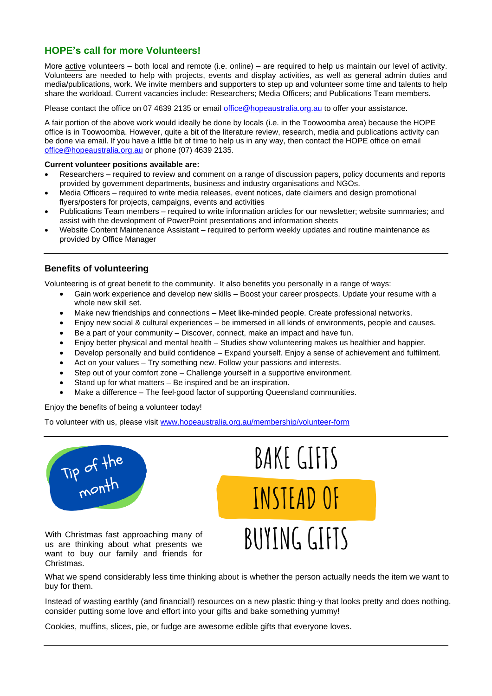## **HOPE's call for more Volunteers!**

More **active** volunteers – both local and remote (i.e. online) – are required to help us maintain our level of activity. Volunteers are needed to help with projects, events and display activities, as well as general admin duties and media/publications, work. We invite members and supporters to step up and volunteer some time and talents to help share the workload. Current vacancies include: Researchers; Media Officers; and Publications Team members.

Please contact the office on 07 4639 2135 or email [office@hopeaustralia.org.au](about:blank) to offer your assistance.

A fair portion of the above work would ideally be done by locals (i.e. in the Toowoomba area) because the HOPE office is in Toowoomba. However, quite a bit of the literature review, research, media and publications activity can be done via email. If you have a little bit of time to help us in any way, then contact the HOPE office on email [office@hopeaustralia.org.au](about:blank) or phone (07) 4639 2135.

#### **Current volunteer positions available are:**

- Researchers required to review and comment on a range of discussion papers, policy documents and reports provided by government departments, business and industry organisations and NGOs.
- Media Officers required to write media releases, event notices, date claimers and design promotional flyers/posters for projects, campaigns, events and activities
- Publications Team members required to write information articles for our newsletter; website summaries; and assist with the development of PowerPoint presentations and information sheets
- Website Content Maintenance Assistant required to perform weekly updates and routine maintenance as provided by Office Manager

## **Benefits of volunteering**

Volunteering is of great benefit to the community. It also benefits you personally in a range of ways:

- Gain work experience and develop new skills Boost your career prospects. Update your resume with a whole new skill set.
- Make new friendships and connections Meet like-minded people. Create professional networks.
- Enjoy new social & cultural experiences be immersed in all kinds of environments, people and causes.
- Be a part of your community Discover, connect, make an impact and have fun.
- Enjoy better physical and mental health Studies show volunteering makes us healthier and happier.
- Develop personally and build confidence Expand yourself. Enjoy a sense of achievement and fulfilment.
- Act on your values Try something new. Follow your passions and interests.
- Step out of your comfort zone Challenge yourself in a supportive environment.
- Stand up for what matters Be inspired and be an inspiration.
- Make a difference The feel-good factor of supporting Queensland communities.

Enjoy the benefits of being a volunteer today!

To volunteer with us, please visit [www.hopeaustralia.org.au/membership/volunteer-form](http://www.hopeaustralia.org.au/membership/volunteer-form)



With Christmas fast approaching many of us are thinking about what presents we want to buy our family and friends for Christmas.



What we spend considerably less time thinking about is whether the person actually needs the item we want to buy for them.

Instead of wasting earthly (and financial!) resources on a new plastic thing-y that looks pretty and does nothing, consider putting some love and effort into your gifts and bake something yummy!

Cookies, muffins, slices, pie, or fudge are awesome edible gifts that everyone loves.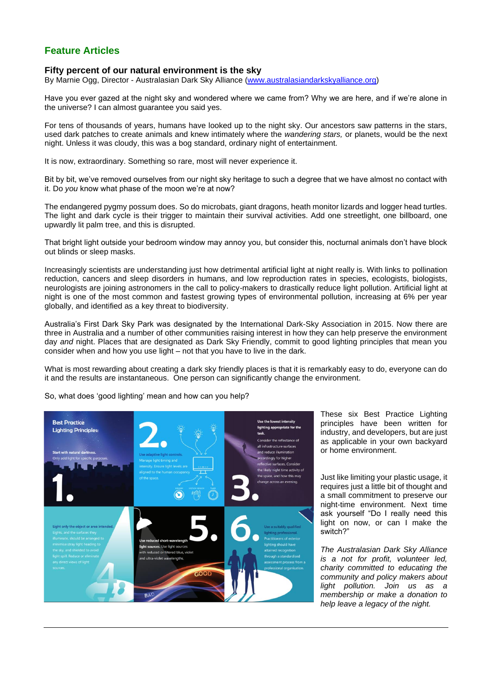## **Feature Articles**

#### **Fifty percent of our natural environment is the sky**

By Marnie Ogg, Director - Australasian Dark Sky Alliance [\(www.australasiandarkskyalliance.org\)](http://www.australasiandarkskyalliance.org/)

Have you ever gazed at the night sky and wondered where we came from? Why we are here, and if we're alone in the universe? I can almost guarantee you said yes.

For tens of thousands of years, humans have looked up to the night sky. Our ancestors saw patterns in the stars, used dark patches to create animals and knew intimately where the *wandering stars,* or planets, would be the next night. Unless it was cloudy, this was a bog standard, ordinary night of entertainment.

It is now, extraordinary. Something so rare, most will never experience it.

Bit by bit, we've removed ourselves from our night sky heritage to such a degree that we have almost no contact with it. Do *you* know what phase of the moon we're at now?

The endangered pygmy possum does. So do microbats, giant dragons, heath monitor lizards and logger head turtles. The light and dark cycle is their trigger to maintain their survival activities. Add one streetlight, one billboard, one upwardly lit palm tree, and this is disrupted.

That bright light outside your bedroom window may annoy you, but consider this, nocturnal animals don't have block out blinds or sleep masks.

Increasingly scientists are understanding just how detrimental artificial light at night really is. With links to [pollination](about:blank)  [reduction, cancers](about:blank) and [sleep disorders](about:blank) in humans, and low [reproduction rates](about:blank) in species, ecologists, biologists, neurologists are joining astronomers in the call to policy-makers to drastically reduce light pollution. Artificial light at night is one of the most common and fastest growing types of environmental pollution, increasing at 6% per year globally, and identified as a key threat to biodiversity.

Australia's First Dark Sky Park was designated by the [International Dark-Sky Association](about:blank) in 2015. Now there are three in Australia and a number of other communities raising interest in how they can help preserve the environment day *and* night. Places that are designated as Dark Sky Friendly, commit to good lighting principles that mean you consider when and how you use light – not that you have to live in the dark.

What is most rewarding about creating a dark sky friendly places is that it is remarkably easy to do, everyone can do it and the results are instantaneous. One person can significantly change the environment.

So, what does 'good lighting' mean and how can you help?



These six Best Practice Lighting principles have been written for industry, and developers, but are just as applicable in your own backyard or home environment.

Just like limiting your plastic usage, it requires just a little bit of thought and a small commitment to preserve our night-time environment. Next time ask yourself "Do I really need this light on now, or can I make the switch?"

*The [Australasian Dark Sky Alliance](about:blank) is a not for profit, volunteer led, charity committed to educating the community and policy makers about light pollution. Join us as a membership or make a donation to help leave a legacy of the night.*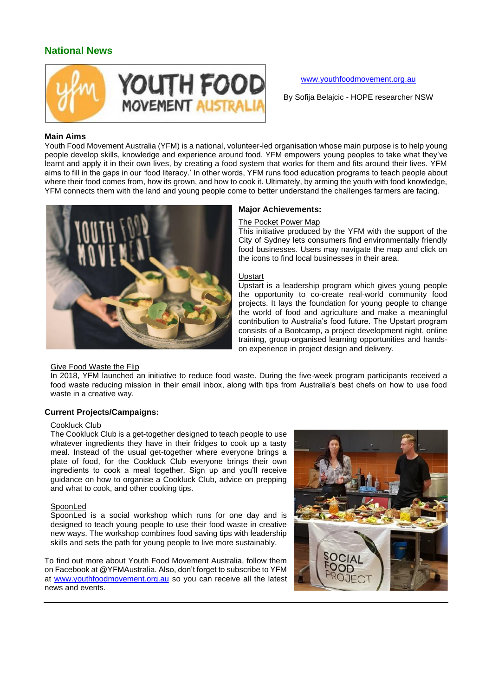## **National News**



#### [www.youthfoodmovement.org.au](http://www.youthfoodmovement.org.au/)

By Sofija Belajcic - HOPE researcher NSW

#### **Main Aims**

Youth Food Movement Australia (YFM) is a national, volunteer-led organisation whose main purpose is to help young people develop skills, knowledge and experience around food. YFM empowers young peoples to take what they've learnt and apply it in their own lives, by creating a food system that works for them and fits around their lives. YFM aims to fill in the gaps in our 'food literacy.' In other words, YFM runs food education programs to teach people about where their food comes from, how its grown, and how to cook it. Ultimately, by arming the youth with food knowledge, YFM connects them with the land and young people come to better understand the challenges farmers are facing.



## **Major Achievements:**

#### The Pocket Power Map

This initiative produced by the YFM with the support of the City of Sydney lets consumers find environmentally friendly food businesses. Users may navigate the map and click on the icons to find local businesses in their area.

#### Upstart

Upstart is a leadership program which gives young people the opportunity to co-create real-world community food projects. It lays the foundation for young people to change the world of food and agriculture and make a meaningful contribution to Australia's food future. The Upstart program consists of a Bootcamp, a project development night, online training, group-organised learning opportunities and handson experience in project design and delivery.

#### Give Food Waste the Flip

In 2018, YFM launched an initiative to reduce food waste. During the five-week program participants received a food waste reducing mission in their email inbox, along with tips from Australia's best chefs on how to use food waste in a creative way.

#### **Current Projects/Campaigns:**

#### Cookluck Club

The Cookluck Club is a get-together designed to teach people to use whatever ingredients they have in their fridges to cook up a tasty meal. Instead of the usual get-together where everyone brings a plate of food, for the Cookluck Club everyone brings their own ingredients to cook a meal together. Sign up and you'll receive guidance on how to organise a Cookluck Club, advice on prepping and what to cook, and other cooking tips.

#### **SpoonLed**

SpoonLed is a social workshop which runs for one day and is designed to teach young people to use their food waste in creative new ways. The workshop combines food saving tips with leadership skills and sets the path for young people to live more sustainably.

To find out more about Youth Food Movement Australia, follow them o[n Facebook](about:blank) at @YFMAustralia. Also, don't forget to [subscribe to YFM](about:blank) at [www.youthfoodmovement.org.au](http://www.youthfoodmovement.org.au/) so you can receive all the latest news and events.

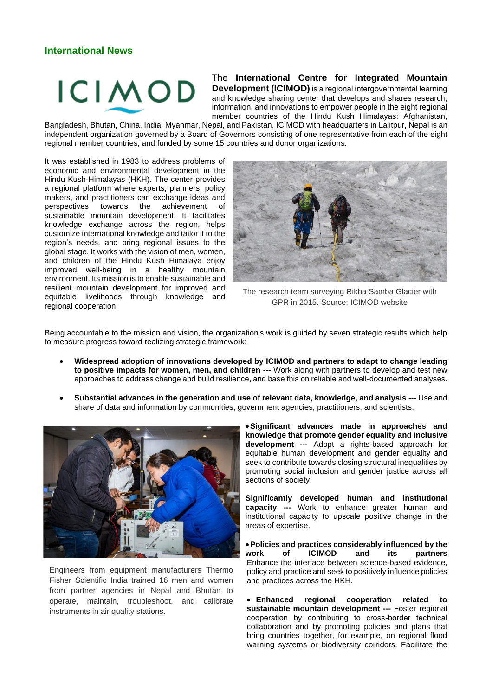# **ICIMOD**

The **International Centre for Integrated Mountain Development (ICIMOD)** is a regional intergovernmental learning and knowledge sharing center that develops and shares research, information, and innovations to empower people in the eight regional member countries of the Hindu Kush Himalayas: Afghanistan,

Bangladesh, Bhutan, China, India, Myanmar, Nepal, and Pakistan. ICIMOD with headquarters in Lalitpur, Nepal is an independent organization governed by a Board of Governors consisting of one representative from each of the eight regional member countries, and funded by some 15 countries and donor organizations.

It was established in 1983 to address problems of economic and environmental development in the Hindu Kush-Himalayas (HKH). The center provides a regional platform where experts, planners, policy makers, and practitioners can exchange ideas and<br>perspectives towards the achievement of achievement of sustainable mountain development. It facilitates knowledge exchange across the region, helps customize international knowledge and tailor it to the region's needs, and bring regional issues to the global stage. It works with the vision of men, women, and children of the Hindu Kush Himalaya enjoy improved well-being in a healthy mountain environment. Its mission is to enable sustainable and resilient mountain development for improved and equitable livelihoods through knowledge and regional cooperation.



The research team surveying Rikha Samba Glacier with GPR in 2015. Source: ICIMOD website

Being accountable to the mission and vision, the organization's work is guided by seven strategic results which help to measure progress toward realizing strategic framework:

- **Widespread adoption of innovations developed by ICIMOD and partners to adapt to change leading to positive impacts for women, men, and children ---** Work along with partners to develop and test new approaches to address change and build resilience, and base this on reliable and well-documented analyses.
- **Substantial advances in the generation and use of relevant data, knowledge, and analysis ---** Use and share of data and information by communities, government agencies, practitioners, and scientists.



Engineers from equipment manufacturers Thermo Fisher Scientific India trained 16 men and women from partner agencies in Nepal and Bhutan to operate, maintain, troubleshoot, and calibrate instruments in air quality stations.

•**Significant advances made in approaches and knowledge that promote gender equality and inclusive development ---** Adopt a rights-based approach for equitable human development and gender equality and seek to contribute towards closing structural inequalities by promoting social inclusion and gender justice across all sections of society.

**Significantly developed human and institutional capacity ---** Work to enhance greater human and institutional capacity to upscale positive change in the areas of expertise.

•**Policies and practices considerably influenced by the work of ICIMOD and its partners** Enhance the interface between science-based evidence, policy and practice and seek to positively influence policies and practices across the HKH.

• **Enhanced regional cooperation related to sustainable mountain development ---** Foster regional cooperation by contributing to cross-border technical collaboration and by promoting policies and plans that bring countries together, for example, on regional flood warning systems or biodiversity corridors. Facilitate the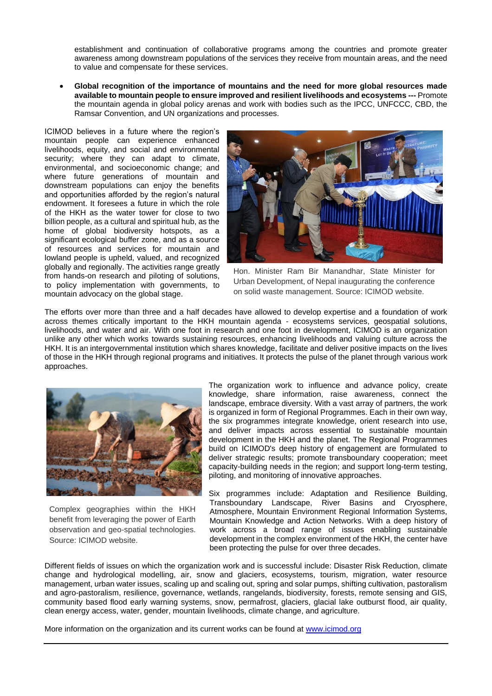establishment and continuation of collaborative programs among the countries and promote greater awareness among downstream populations of the services they receive from mountain areas, and the need to value and compensate for these services.

• **Global recognition of the importance of mountains and the need for more global resources made available to mountain people to ensure improved and resilient livelihoods and ecosystems ---** Promote the mountain agenda in global policy arenas and work with bodies such as the IPCC, UNFCCC, CBD, the Ramsar Convention, and UN organizations and processes.

ICIMOD believes in a future where the region's mountain people can experience enhanced livelihoods, equity, and social and environmental security; where they can adapt to climate, environmental, and socioeconomic change; and where future generations of mountain and downstream populations can enjoy the benefits and opportunities afforded by the region's natural endowment. It foresees a future in which the role of the HKH as the water tower for close to two billion people, as a cultural and spiritual hub, as the home of global biodiversity hotspots, as a significant ecological buffer zone, and as a source of resources and services for mountain and lowland people is upheld, valued, and recognized globally and regionally. The activities range greatly from hands-on research and piloting of solutions, to policy implementation with governments, to mountain advocacy on the global stage.



Hon. Minister Ram Bir Manandhar, State Minister for Urban Development, of Nepal inaugurating the conference on solid waste management. Source: ICIMOD website.

The efforts over more than three and a half decades have allowed to develop expertise and a foundation of work across themes critically important to the HKH mountain agenda - ecosystems services, geospatial solutions, livelihoods, and water and air. With one foot in research and one foot in development, ICIMOD is an organization unlike any other which works towards sustaining resources, enhancing livelihoods and valuing culture across the HKH. It is an intergovernmental institution which shares knowledge, facilitate and deliver positive impacts on the lives of those in the HKH through regional programs and initiatives. It protects the pulse of the planet through various work approaches.



Complex geographies within the HKH benefit from leveraging the power of Earth observation and geo-spatial technologies. Source: ICIMOD website.

The organization work to influence and advance policy, create knowledge, share information, raise awareness, connect the landscape, embrace diversity. With a vast array of partners, the work is organized in form of Regional Programmes. Each in their own way, the six programmes integrate knowledge, orient research into use, and deliver impacts across essential to sustainable mountain development in the HKH and the planet. The Regional Programmes build on ICIMOD's deep history of engagement are formulated to deliver strategic results; promote transboundary cooperation; meet capacity-building needs in the region; and support long-term testing, piloting, and monitoring of innovative approaches.

Six programmes include: Adaptation and Resilience Building, Transboundary Landscape, River Basins and Cryosphere, Atmosphere, Mountain Environment Regional Information Systems, Mountain Knowledge and Action Networks. With a deep history of work across a broad range of issues enabling sustainable development in the complex environment of the HKH, the center have been protecting the pulse for over three decades.

Different fields of issues on which the organization work and is successful include: Disaster Risk Reduction, climate change and hydrological modelling, air, snow and glaciers, ecosystems, tourism, migration, water resource management, urban water issues, scaling up and scaling out, spring and solar pumps, shifting cultivation, pastoralism and agro-pastoralism, resilience, governance, wetlands, rangelands, biodiversity, forests, remote sensing and GIS, community based flood early warning systems, snow, permafrost, glaciers, glacial lake outburst flood, air quality, clean energy access, water, gender, mountain livelihoods, climate change, and agriculture.

More information on the organization and its current works can be found at [www.icimod.org](http://www.icimod.org/)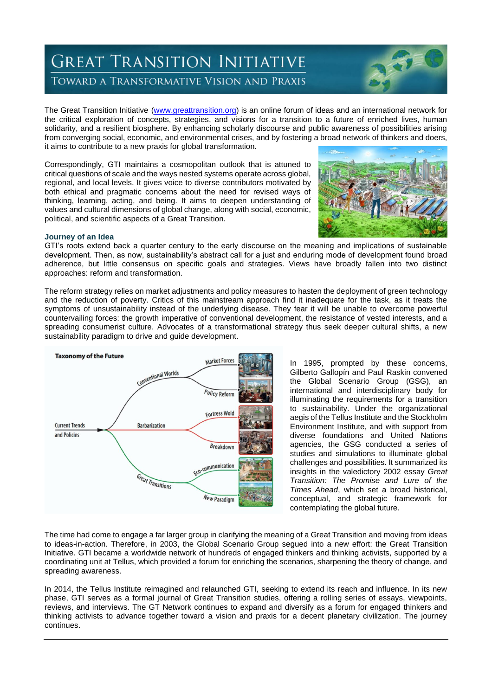## **GREAT TRANSITION INITIATIVE** TOWARD A TRANSFORMATIVE VISION AND PRAXIS

The Great Transition Initiative [\(www.greattransition.org\)](http://www.greattransition.org/) is an online forum of ideas and an international network for the critical exploration of concepts, strategies, and visions for a transition to a future of enriched lives, human solidarity, and a resilient biosphere. By enhancing scholarly discourse and public awareness of possibilities arising from converging social, economic, and environmental crises, and by fostering a broad network of thinkers and doers, it aims to contribute to a new praxis for global transformation.

Correspondingly, GTI maintains a cosmopolitan outlook that is attuned to critical questions of scale and the ways nested systems operate across global, regional, and local levels. It gives voice to diverse contributors motivated by both ethical and pragmatic concerns about the need for revised ways of thinking, learning, acting, and being. It aims to deepen understanding of values and cultural dimensions of global change, along with social, economic, political, and scientific aspects of a Great Transition.



#### **Journey of an Idea**

GTI's roots extend back a quarter century to the early discourse on the meaning and implications of sustainable development. Then, as now, sustainability's abstract call for a just and enduring mode of development found broad adherence, but little consensus on specific goals and strategies. Views have broadly fallen into two distinct approaches: reform and transformation.

The reform strategy relies on market adjustments and policy measures to hasten the deployment of green technology and the reduction of poverty. Critics of this mainstream approach find it inadequate for the task, as it treats the symptoms of unsustainability instead of the underlying disease. They fear it will be unable to overcome powerful countervailing forces: the growth imperative of conventional development, the resistance of vested interests, and a spreading consumerist culture. Advocates of a transformational strategy thus seek deeper cultural shifts, a new sustainability paradigm to drive and guide development.



In 1995, prompted by these concerns, Gilberto Gallopín and Paul Raskin convened the Global Scenario Group (GSG), an international and interdisciplinary body for illuminating the requirements for a transition to sustainability. Under the organizational aegis of the Tellus Institute and the Stockholm Environment Institute, and with support from diverse foundations and United Nations agencies, the GSG conducted a series of studies and simulations to illuminate global challenges and possibilities. It summarized its insights in the valedictory 2002 essay *[Great](about:blank)  [Transition: The Promise and Lure of the](about:blank)  [Times Ahead](about:blank)*, which set a broad historical, conceptual, and strategic framework for contemplating the global future.

The time had come to engage a far larger group in clarifying the meaning of a Great Transition and moving from ideas to ideas-in-action. Therefore, in 2003, the Global Scenario Group segued into a new effort: the Great Transition Initiative. GTI became a worldwide network of hundreds of engaged thinkers and thinking activists, supported by a coordinating unit at Tellus, which provided a forum for enriching the scenarios, sharpening the theory of change, and spreading awareness.

In 2014, the Tellus Institute reimagined and relaunched GTI, seeking to extend its reach and influence. In its new phase, GTI serves as a formal journal of Great Transition studies, offering a rolling series of essays, viewpoints, reviews, and interviews. The GT Network continues to expand and diversify as a forum for engaged thinkers and thinking activists to advance together toward a vision and praxis for a decent planetary civilization. The journey continues.